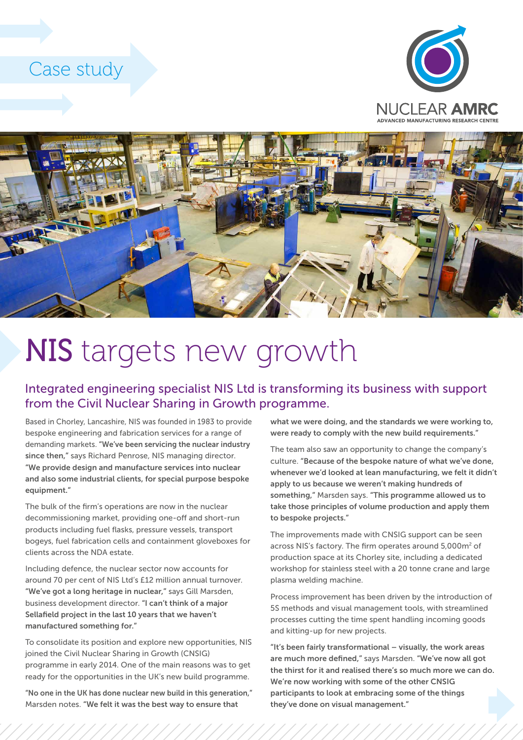## Case study





## NIS targets new growth

## Integrated engineering specialist NIS Ltd is transforming its business with support from the Civil Nuclear Sharing in Growth programme.

Based in Chorley, Lancashire, NIS was founded in 1983 to provide bespoke engineering and fabrication services for a range of demanding markets. "We've been servicing the nuclear industry since then," says Richard Penrose, NIS managing director. "We provide design and manufacture services into nuclear and also some industrial clients, for special purpose bespoke equipment."

The bulk of the firm's operations are now in the nuclear decommissioning market, providing one-off and short-run products including fuel flasks, pressure vessels, transport bogeys, fuel fabrication cells and containment gloveboxes for clients across the NDA estate.

Including defence, the nuclear sector now accounts for around 70 per cent of NIS Ltd's £12 million annual turnover. "We've got a long heritage in nuclear," says Gill Marsden, business development director. "I can't think of a major Sellafield project in the last 10 years that we haven't manufactured something for."

To consolidate its position and explore new opportunities, NIS joined the Civil Nuclear Sharing in Growth (CNSIG) programme in early 2014. One of the main reasons was to get ready for the opportunities in the UK's new build programme.

"No one in the UK has done nuclear new build in this generation," Marsden notes. "We felt it was the best way to ensure that

what we were doing, and the standards we were working to, were ready to comply with the new build requirements."

The team also saw an opportunity to change the company's culture. "Because of the bespoke nature of what we've done, whenever we'd looked at lean manufacturing, we felt it didn't apply to us because we weren't making hundreds of something," Marsden says. "This programme allowed us to take those principles of volume production and apply them to bespoke projects."

The improvements made with CNSIG support can be seen across NIS's factory. The firm operates around 5,000m2 of production space at its Chorley site, including a dedicated workshop for stainless steel with a 20 tonne crane and large plasma welding machine.

Process improvement has been driven by the introduction of 5S methods and visual management tools, with streamlined processes cutting the time spent handling incoming goods and kitting-up for new projects.

"It's been fairly transformational – visually, the work areas are much more defined," says Marsden. "We've now all got the thirst for it and realised there's so much more we can do. We're now working with some of the other CNSIG participants to look at embracing some of the things they've done on visual management."